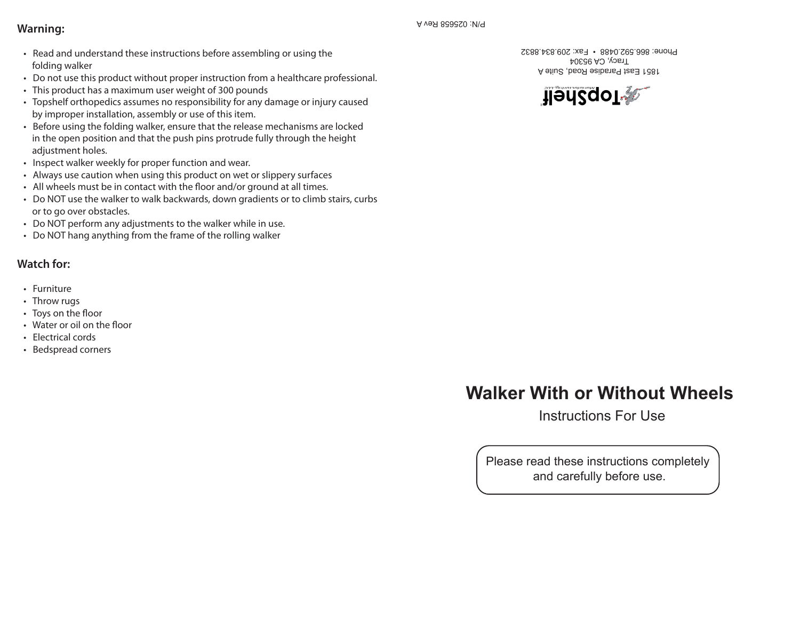## **Warning:**

- Read and understand these instructions before assembling or using the folding walker
- Do not use this product without proper instruction from a healthcare professional.
- This product has a maximum user weight of 300 pounds
- Topshelf orthopedics assumes no responsibility for any damage or injury caused by improper installation, assembly or use of this item.
- Before using the folding walker, ensure that the release mechanisms are locked in the open position and that the push pins protrude fully through the height adiustment holes.
- Inspect walker weekly for proper function and wear.
- Always use caution when using this product on wet or slippery surfaces
- All wheels must be in contact with the floor and/or ground at all times.
- Do NOT use the walker to walk backwards, down gradients or to climb stairs, curbs or to go over obstacles.
- Do NOT perform any adjustments to the walker while in use.
- Do NOT hang anything from the frame of the rolling walker

## **Watch for:**

- Furniture
- Throw rugs
- Toys on the floor
- Water or oil on the floor
- Electrical cords
- Bedspread corners

1851 East Paradise Road, Suite A Tracy, CA 95304 Phone: 866.592.0488 • Fax: 209.834.8832



# **Walker With or Without Wheels**

Instructions For Use

Please read these instructions completely and carefully before use.